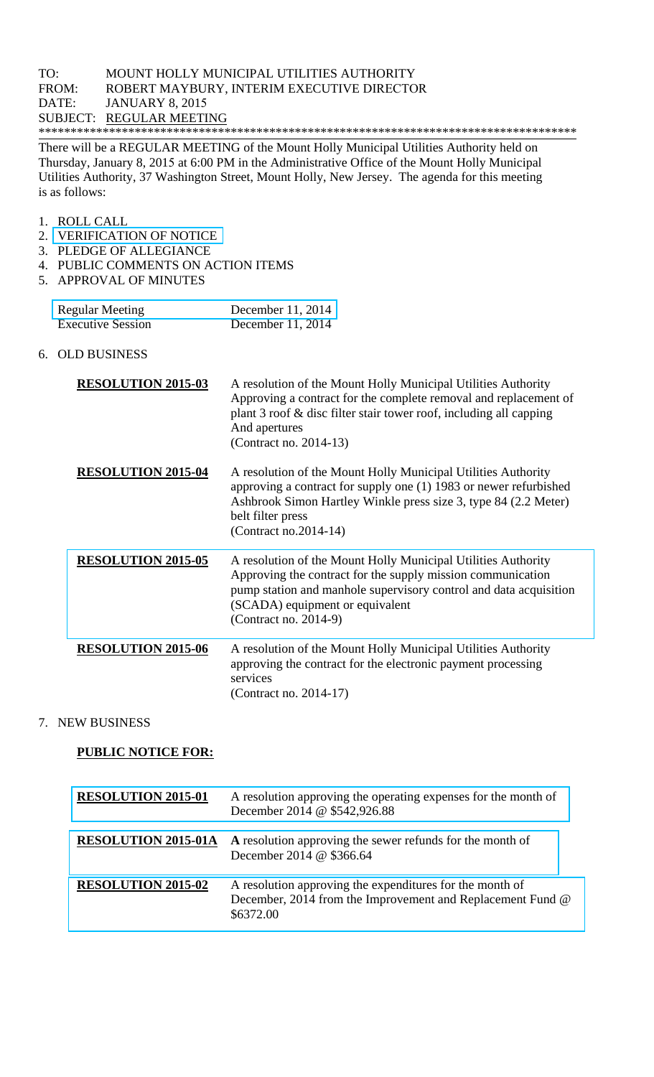There will be a REGULAR MEETING of the Mount Holly Municipal Utilities Authority held on Thursday, January 8, 2015 at 6:00 PM in the Administrative Office of the Mount Holly Municipal Utilities Authority, 37 Washington Street, Mount Holly, New Jersey. The agenda for this meeting is as follows:

- 1. ROLL CALL
- 2. VERIFICATION OF NOTICE
- 3. PLEDGE OF ALLEGIANCE
- 4. PUBLIC COMMENTS ON ACTION ITEMS
- 5. APPROVAL OF MINUTES

| <b>Regular Meeting</b>   | December 11, 2014   |
|--------------------------|---------------------|
| <b>Executive Session</b> | December $11, 2014$ |

6. OLD BUSINESS

| <b>RESOLUTION 2015-03</b> | A resolution of the Mount Holly Municipal Utilities Authority<br>Approving a contract for the complete removal and replacement of<br>plant 3 roof & disc filter stair tower roof, including all capping<br>And apertures<br>(Contract no. 2014-13)            |
|---------------------------|---------------------------------------------------------------------------------------------------------------------------------------------------------------------------------------------------------------------------------------------------------------|
| <b>RESOLUTION 2015-04</b> | A resolution of the Mount Holly Municipal Utilities Authority<br>approving a contract for supply one (1) 1983 or newer refurbished<br>Ashbrook Simon Hartley Winkle press size 3, type 84 (2.2 Meter)<br>belt filter press<br>(Contract no.2014-14)           |
| <b>RESOLUTION 2015-05</b> | A resolution of the Mount Holly Municipal Utilities Authority<br>Approving the contract for the supply mission communication<br>pump station and manhole supervisory control and data acquisition<br>(SCADA) equipment or equivalent<br>(Contract no. 2014-9) |
| <b>RESOLUTION 2015-06</b> | A resolution of the Mount Holly Municipal Utilities Authority<br>approving the contract for the electronic payment processing<br>services<br>(Contract no. 2014-17)                                                                                           |

## 7. NEW BUSINESS

## **PUBLIC NOTICE FOR:**

| <b>RESOLUTION 2015-01</b>  | A resolution approving the operating expenses for the month of<br>December 2014 @ \$542,926.88                                      |
|----------------------------|-------------------------------------------------------------------------------------------------------------------------------------|
| <b>RESOLUTION 2015-01A</b> | A resolution approving the sewer refunds for the month of<br>December 2014 @ \$366.64                                               |
| <b>RESOLUTION 2015-02</b>  | A resolution approving the expenditures for the month of<br>December, 2014 from the Improvement and Replacement Fund @<br>\$6372.00 |